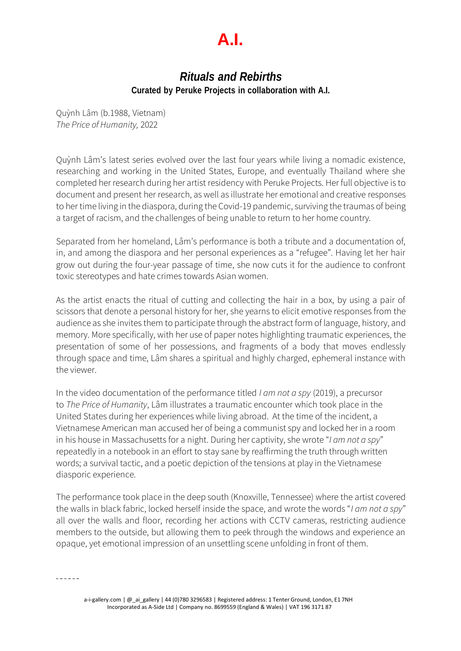## **A.I.**

## *Rituals and Rebirths* **Curated by Peruke Projects in collaboration with A.I.**

Quỳnh Lâm (b.1988, Vietnam) *The Price of Humanity,* 2022

Quỳnh Lâm's latest series evolved over the last four years while living a nomadic existence, researching and working in the United States, Europe, and eventually Thailand where she completed her research during her artist residency with Peruke Projects. Her full objective is to document and present her research, as well as illustrate her emotional and creative responses to her time living in the diaspora, during the Covid-19 pandemic, surviving the traumas of being a target of racism, and the challenges of being unable to return to her home country.

Separated from her homeland, Lâm's performance is both a tribute and a documentation of, in, and among the diaspora and her personal experiences as a "refugee". Having let her hair grow out during the four-year passage of time, she now cuts it for the audience to confront toxic stereotypes and hate crimes towards Asian women.

As the artist enacts the ritual of cutting and collecting the hair in a box, by using a pair of scissors that denote a personal history for her, she yearns to elicit emotive responses from the audience as she invites them to participate through the abstract form of language, history, and memory. More specifically, with her use of paper notes highlighting traumatic experiences, the presentation of some of her possessions, and fragments of a body that moves endlessly through space and time, Lâm shares a spiritual and highly charged, ephemeral instance with the viewer.

In the video documentation of the performance titled *I am not a spy* (2019), a precursor to *The Price of Humanity*, Lâm illustrates a traumatic encounter which took place in the United States during her experiences while living abroad. At the time of the incident, a Vietnamese American man accused her of being a communist spy and locked her in a room in his house in Massachusetts for a night. During her captivity, she wrote "*I am not a spy*" repeatedly in a notebook in an effort to stay sane by reaffirming the truth through written words; a survival tactic, and a poetic depiction of the tensions at play in the Vietnamese diasporic experience.

The performance took place in the deep south (Knoxville, Tennessee) where the artist covered the walls in black fabric, locked herself inside the space, and wrote the words "*I am not a spy*" all over the walls and floor, recording her actions with CCTV cameras, restricting audience members to the outside, but allowing them to peek through the windows and experience an opaque, yet emotional impression of an unsettling scene unfolding in front of them.

 $- - - - - -$